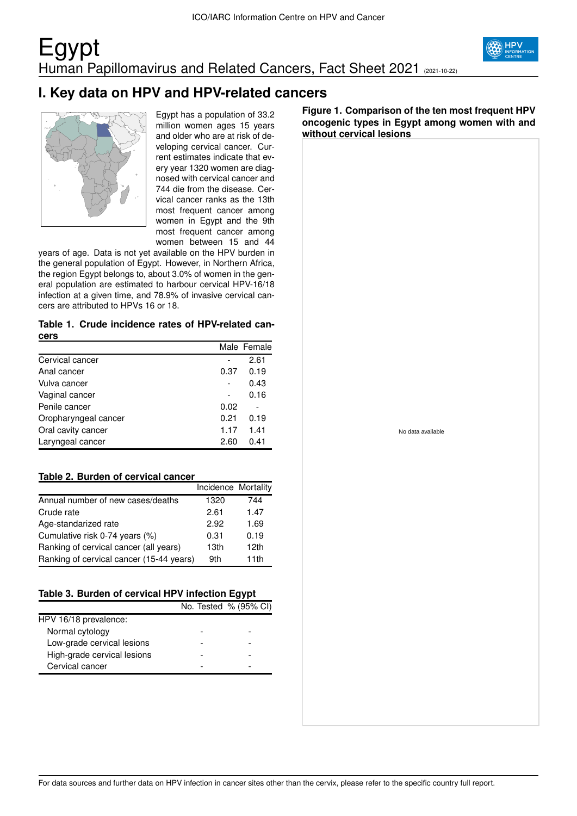## Egypt Human Papillomavirus and Related Cancers, Fact Sheet 2021 (2021-10-22)



## **I. Key data on HPV and HPV-related cancers**



Egypt has a population of 33.2 million women ages 15 years and older who are at risk of developing cervical cancer. Current estimates indicate that every year 1320 women are diagnosed with cervical cancer and 744 die from the disease. Cervical cancer ranks as the 13th most frequent cancer among women in Egypt and the 9th most frequent cancer among women between 15 and 44

years of age. Data is not yet available on the HPV burden in the general population of Egypt. However, in Northern Africa, the region Egypt belongs to, about 3.0% of women in the general population are estimated to harbour cervical HPV-16/18 infection at a given time, and 78.9% of invasive cervical cancers are attributed to HPVs 16 or 18.

#### **Table 1. Crude incidence rates of HPV-related cancers**

|                      |      | Male Female |
|----------------------|------|-------------|
| Cervical cancer      |      | 2.61        |
| Anal cancer          | 0.37 | 0.19        |
| Vulva cancer         |      | 0.43        |
| Vaginal cancer       |      | 0.16        |
| Penile cancer        | 0.02 |             |
| Oropharyngeal cancer | 0.21 | 0.19        |
| Oral cavity cancer   | 1.17 | 1.41        |
| Laryngeal cancer     | 2.60 | 0.41        |

#### **Table 2. Burden of cervical cancer**

|                                          | Incidence Mortality |      |
|------------------------------------------|---------------------|------|
| Annual number of new cases/deaths        | 1320                | 744  |
| Crude rate                               | 2.61                | 1.47 |
| Age-standarized rate                     | 2.92                | 1.69 |
| Cumulative risk 0-74 years (%)           | 0.31                | 0.19 |
| Ranking of cervical cancer (all years)   | 13 <sub>th</sub>    | 12th |
| Ranking of cervical cancer (15-44 years) | 9th                 | 11th |

### **Table 3. Burden of cervical HPV infection Egypt**

|                             | No. Tested % (95% CI) |
|-----------------------------|-----------------------|
| HPV 16/18 prevalence:       |                       |
| Normal cytology             |                       |
| Low-grade cervical lesions  |                       |
| High-grade cervical lesions |                       |
| Cervical cancer             |                       |

**Figure 1. Comparison of the ten most frequent HPV oncogenic types in Egypt among women with and without cervical lesions**

No data available